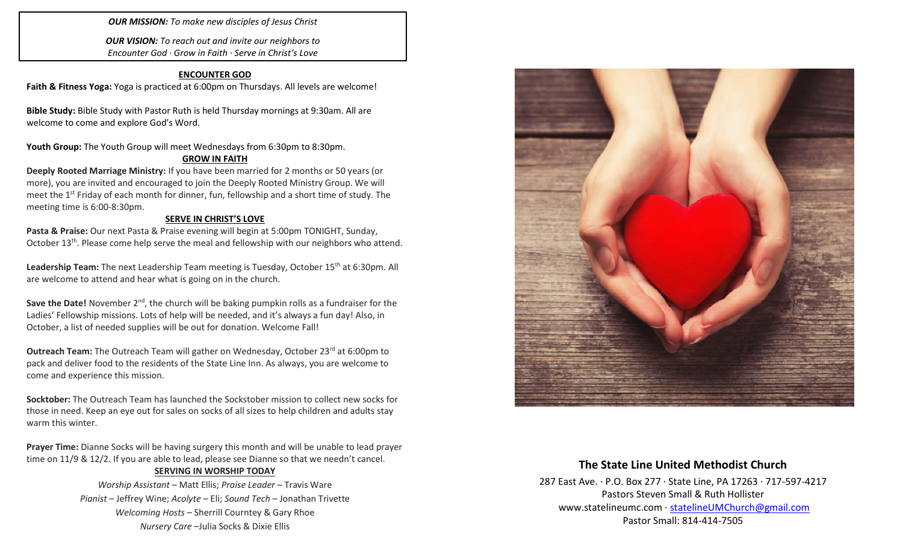*OUR MISSION: To make new disciples of Jesus Christ*

*OUR VISION: To reach out and invite our neighbors to Encounter God · Grow in Faith · Serve in Christ's Love*

### **ENCOUNTER GOD**

**Faith & Fitness Yoga:** Yoga is practiced at 6:00pm on Thursdays. All levels are welcome!

**Bible Study:** Bible Study with Pastor Ruth is held Thursday mornings at 9:30am. All are welcome to come and explore God's Word.

Youth Group: The Youth Group will meet Wednesdays from 6:30pm to 8:30pm.

### **GROW IN FAITH**

**Deeply Rooted Marriage Ministry:** If you have been married for 2 months or 50 years (or more), you are invited and encouraged to join the Deeply Rooted Ministry Group. We will meet the 1<sup>st</sup> Friday of each month for dinner, fun, fellowship and a short time of study. The meeting time is 6:00-8:30pm.

### **SERVE IN CHRIST'S LOVE**

**Pasta & Praise:** Our next Pasta & Praise evening will begin at 5:00pm TONIGHT, Sunday, October 13<sup>th</sup>. Please come help serve the meal and fellowship with our neighbors who attend.

**Leadership Team:** The next Leadership Team meeting is Tuesday, October 15th at 6:30pm. All are welcome to attend and hear what is going on in the church.

**Save the Date!** November 2<sup>nd</sup>, the church will be baking pumpkin rolls as a fundraiser for the Ladies' Fellowship missions. Lots of help will be needed, and it's always a fun day! Also, in October, a list of needed supplies will be out for donation. Welcome Fall!

**Outreach Team:** The Outreach Team will gather on Wednesday, October 23<sup>rd</sup> at 6:00pm to pack and deliver food to the residents of the State Line Inn. As always, you are welcome to come and experience this mission.

**Socktober:** The Outreach Team has launched the Sockstober mission to collect new socks for those in need. Keep an eye out for sales on socks of all sizes to help children and adults stay warm this winter.

**Prayer Time:** Dianne Socks will be having surgery this month and will be unable to lead prayer time on 11/9 & 12/2. If you are able to lead, please see Dianne so that we needn't cancel.

#### **SERVING IN WORSHIP TODAY**

*Worship Assistant* – Matt Ellis; *Praise Leader* – Travis Ware *Pianist* – Jeffrey Wine; *Acolyte* – Eli; *Sound Tech* – Jonathan Trivette *Welcoming Hosts* – Sherrill Courntey & Gary Rhoe *Nursery Care* –Julia Socks & Dixie Ellis



## **The State Line United Methodist Church**

287 East Ave. · P.O. Box 277 · State Line, PA 17263 · 717-597-4217 Pastors Steven Small & Ruth Hollister [www.statelineumc.com](http://www.statelineumc.com/) · [statelineUMChurch@gmail.com](mailto:statelineUMChurch@gmail.com) Pastor Small: 814-414-7505